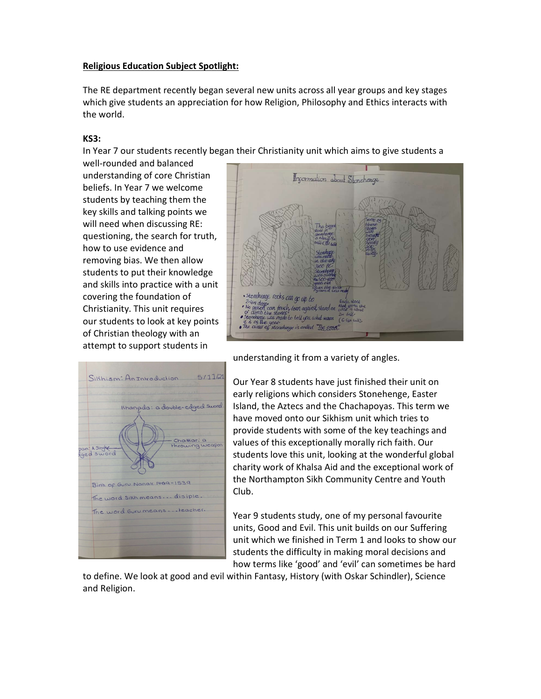## Religious Education Subject Spotlight:

The RE department recently began several new units across all year groups and key stages which give students an appreciation for how Religion, Philosophy and Ethics interacts with the world.

## KS3:

In Year 7 our students recently began their Christianity unit which aims to give students a

well-rounded and balanced understanding of core Christian beliefs. In Year 7 we welcome students by teaching them the key skills and talking points we will need when discussing RE: questioning, the search for truth, how to use evidence and removing bias. We then allow students to put their knowledge and skills into practice with a unit covering the foundation of Christianity. This unit requires our students to look at key points of Christian theology with an attempt to support students in





understanding it from a variety of angles.

Our Year 8 students have just finished their unit on early religions which considers Stonehenge, Easter Island, the Aztecs and the Chachapoyas. This term we have moved onto our Sikhism unit which tries to provide students with some of the key teachings and values of this exceptionally morally rich faith. Our students love this unit, looking at the wonderful global charity work of Khalsa Aid and the exceptional work of the Northampton Sikh Community Centre and Youth Club.

Year 9 students study, one of my personal favourite units, Good and Evil. This unit builds on our Suffering unit which we finished in Term 1 and looks to show our students the difficulty in making moral decisions and how terms like 'good' and 'evil' can sometimes be hard

to define. We look at good and evil within Fantasy, History (with Oskar Schindler), Science and Religion.